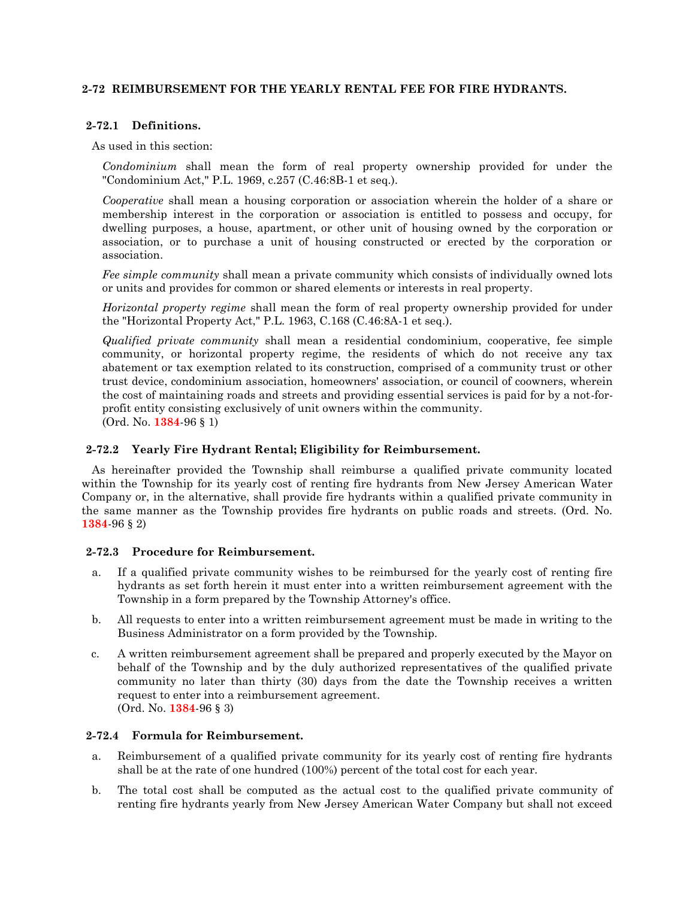## **2-72 REIMBURSEMENT FOR THE YEARLY RENTAL FEE FOR FIRE HYDRANTS.**

## **2-72.1 Definitions.**

#### As used in this section:

*Condominium* shall mean the form of real property ownership provided for under the "Condominium Act," P.L. 1969, c.257 (C.46:8B-1 et seq.).

*Cooperative* shall mean a housing corporation or association wherein the holder of a share or membership interest in the corporation or association is entitled to possess and occupy, for dwelling purposes, a house, apartment, or other unit of housing owned by the corporation or association, or to purchase a unit of housing constructed or erected by the corporation or association.

*Fee simple community* shall mean a private community which consists of individually owned lots or units and provides for common or shared elements or interests in real property.

*Horizontal property regime* shall mean the form of real property ownership provided for under the "Horizontal Property Act," P.L. 1963, C.168 (C.46:8A-1 et seq.).

*Qualified private community* shall mean a residential condominium, cooperative, fee simple community, or horizontal property regime, the residents of which do not receive any tax abatement or tax exemption related to its construction, comprised of a community trust or other trust device, condominium association, homeowners' association, or council of coowners, wherein the cost of maintaining roads and streets and providing essential services is paid for by a not-forprofit entity consisting exclusively of unit owners within the community. (Ord. No. **1384**-96 § 1)

# **2-72.2 Yearly Fire Hydrant Rental; Eligibility for Reimbursement.**

As hereinafter provided the Township shall reimburse a qualified private community located within the Township for its yearly cost of renting fire hydrants from New Jersey American Water Company or, in the alternative, shall provide fire hydrants within a qualified private community in the same manner as the Township provides fire hydrants on public roads and streets. (Ord. No. **1384**-96 § 2)

## **2-72.3 Procedure for Reimbursement.**

- a. If a qualified private community wishes to be reimbursed for the yearly cost of renting fire hydrants as set forth herein it must enter into a written reimbursement agreement with the Township in a form prepared by the Township Attorney's office.
- b. All requests to enter into a written reimbursement agreement must be made in writing to the Business Administrator on a form provided by the Township.
- c. A written reimbursement agreement shall be prepared and properly executed by the Mayor on behalf of the Township and by the duly authorized representatives of the qualified private community no later than thirty (30) days from the date the Township receives a written request to enter into a reimbursement agreement. (Ord. No. **1384**-96 § 3)

## **2-72.4 Formula for Reimbursement.**

- a. Reimbursement of a qualified private community for its yearly cost of renting fire hydrants shall be at the rate of one hundred (100%) percent of the total cost for each year.
- b. The total cost shall be computed as the actual cost to the qualified private community of renting fire hydrants yearly from New Jersey American Water Company but shall not exceed